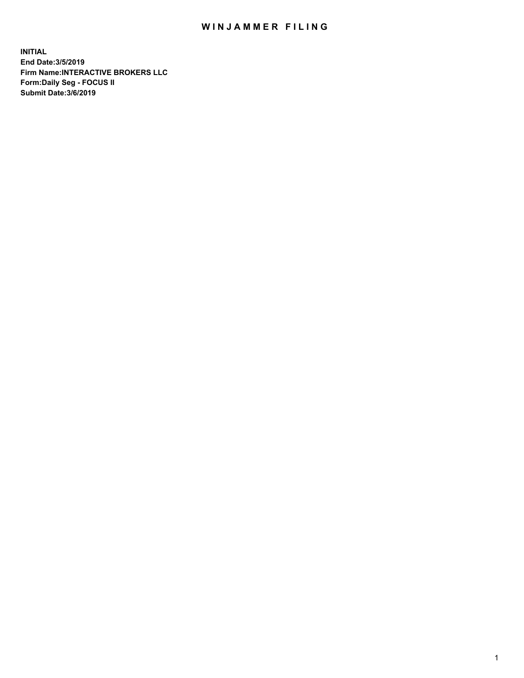## WIN JAMMER FILING

**INITIAL End Date:3/5/2019 Firm Name:INTERACTIVE BROKERS LLC Form:Daily Seg - FOCUS II Submit Date:3/6/2019**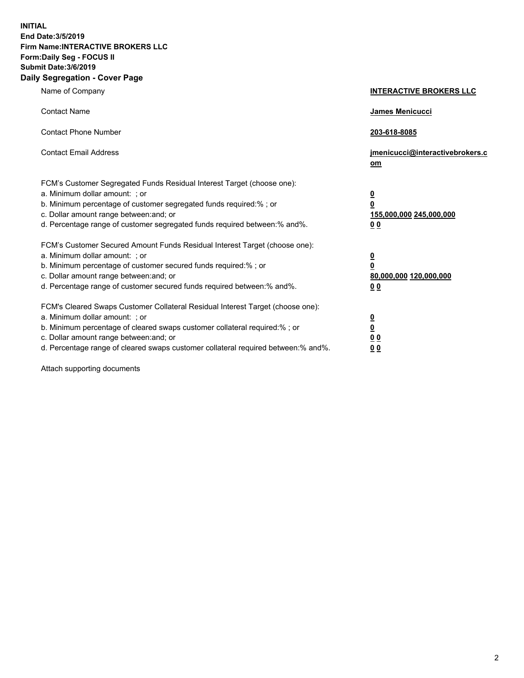**INITIAL End Date:3/5/2019 Firm Name:INTERACTIVE BROKERS LLC Form:Daily Seg - FOCUS II Submit Date:3/6/2019 Daily Segregation - Cover Page**

| Name of Company                                                                                                                                                                                                                                                                                                                | <b>INTERACTIVE BROKERS LLC</b>                                                      |
|--------------------------------------------------------------------------------------------------------------------------------------------------------------------------------------------------------------------------------------------------------------------------------------------------------------------------------|-------------------------------------------------------------------------------------|
| <b>Contact Name</b>                                                                                                                                                                                                                                                                                                            | James Menicucci                                                                     |
| <b>Contact Phone Number</b>                                                                                                                                                                                                                                                                                                    | 203-618-8085                                                                        |
| <b>Contact Email Address</b>                                                                                                                                                                                                                                                                                                   | jmenicucci@interactivebrokers.c<br>om                                               |
| FCM's Customer Segregated Funds Residual Interest Target (choose one):<br>a. Minimum dollar amount: : or<br>b. Minimum percentage of customer segregated funds required:% ; or<br>c. Dollar amount range between: and; or<br>d. Percentage range of customer segregated funds required between:% and%.                         | $\overline{\mathbf{0}}$<br>$\overline{\mathbf{0}}$<br>155,000,000 245,000,000<br>00 |
| FCM's Customer Secured Amount Funds Residual Interest Target (choose one):<br>a. Minimum dollar amount: ; or<br>b. Minimum percentage of customer secured funds required:% ; or<br>c. Dollar amount range between: and; or<br>d. Percentage range of customer secured funds required between:% and%.                           | $\overline{\mathbf{0}}$<br>0<br>80,000,000 120,000,000<br>0 <sub>0</sub>            |
| FCM's Cleared Swaps Customer Collateral Residual Interest Target (choose one):<br>a. Minimum dollar amount: ; or<br>b. Minimum percentage of cleared swaps customer collateral required:% ; or<br>c. Dollar amount range between: and; or<br>d. Percentage range of cleared swaps customer collateral required between:% and%. | <u>0</u><br><u>0</u><br>0 <sub>0</sub><br>0 <sub>0</sub>                            |

Attach supporting documents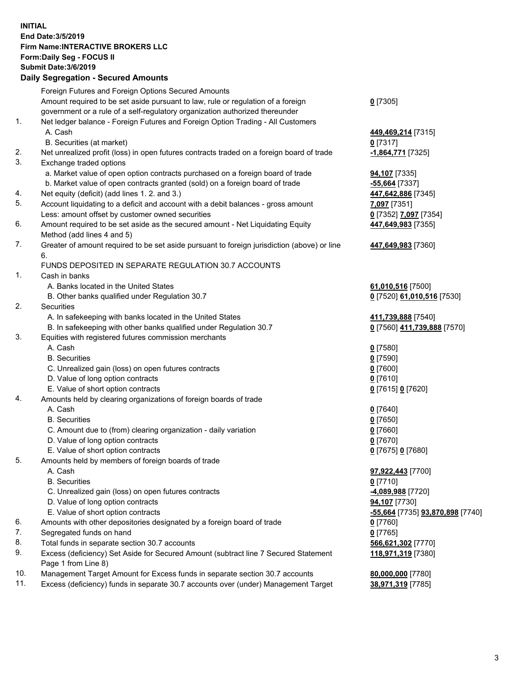## **INITIAL End Date:3/5/2019 Firm Name:INTERACTIVE BROKERS LLC Form:Daily Seg - FOCUS II Submit Date:3/6/2019 Daily Segregation - Secured Amounts**

|     | 2011, Ocgi ogation - Oceaned Anioanita                                                                     |                                  |
|-----|------------------------------------------------------------------------------------------------------------|----------------------------------|
|     | Foreign Futures and Foreign Options Secured Amounts                                                        |                                  |
|     | Amount required to be set aside pursuant to law, rule or regulation of a foreign                           | $0$ [7305]                       |
|     | government or a rule of a self-regulatory organization authorized thereunder                               |                                  |
| 1.  | Net ledger balance - Foreign Futures and Foreign Option Trading - All Customers                            |                                  |
|     | A. Cash                                                                                                    | 449,469,214 [7315]               |
|     | B. Securities (at market)                                                                                  | $0$ [7317]                       |
| 2.  | Net unrealized profit (loss) in open futures contracts traded on a foreign board of trade                  | -1,864,771 [7325]                |
| 3.  | Exchange traded options                                                                                    |                                  |
|     | a. Market value of open option contracts purchased on a foreign board of trade                             | <b>94,107</b> [7335]             |
|     | b. Market value of open contracts granted (sold) on a foreign board of trade                               | -55,664 [7337]                   |
| 4.  | Net equity (deficit) (add lines 1. 2. and 3.)                                                              | 447,642,886 [7345]               |
| 5.  | Account liquidating to a deficit and account with a debit balances - gross amount                          | 7,097 [7351]                     |
|     | Less: amount offset by customer owned securities                                                           | 0 [7352] 7,097 [7354]            |
| 6.  | Amount required to be set aside as the secured amount - Net Liquidating Equity                             | 447,649,983 [7355]               |
|     | Method (add lines 4 and 5)                                                                                 |                                  |
| 7.  | Greater of amount required to be set aside pursuant to foreign jurisdiction (above) or line<br>6.          | 447,649,983 [7360]               |
|     | FUNDS DEPOSITED IN SEPARATE REGULATION 30.7 ACCOUNTS                                                       |                                  |
| 1.  | Cash in banks                                                                                              |                                  |
|     | A. Banks located in the United States                                                                      | 61,010,516 [7500]                |
|     | B. Other banks qualified under Regulation 30.7                                                             | 0 [7520] 61,010,516 [7530]       |
| 2.  | Securities                                                                                                 |                                  |
|     | A. In safekeeping with banks located in the United States                                                  | 411,739,888 [7540]               |
|     | B. In safekeeping with other banks qualified under Regulation 30.7                                         | 0 [7560] 411,739,888 [7570]      |
| 3.  | Equities with registered futures commission merchants                                                      |                                  |
|     | A. Cash                                                                                                    | $0$ [7580]                       |
|     | <b>B.</b> Securities                                                                                       | $0$ [7590]                       |
|     | C. Unrealized gain (loss) on open futures contracts                                                        | $0$ [7600]                       |
|     | D. Value of long option contracts                                                                          | $0$ [7610]                       |
|     | E. Value of short option contracts                                                                         | 0 [7615] 0 [7620]                |
| 4.  | Amounts held by clearing organizations of foreign boards of trade                                          |                                  |
|     | A. Cash                                                                                                    | $0$ [7640]                       |
|     | <b>B.</b> Securities                                                                                       | $0$ [7650]                       |
|     | C. Amount due to (from) clearing organization - daily variation                                            | $0$ [7660]                       |
|     | D. Value of long option contracts                                                                          | $0$ [7670]                       |
|     | E. Value of short option contracts                                                                         | 0 [7675] 0 [7680]                |
| 5.  | Amounts held by members of foreign boards of trade                                                         |                                  |
|     | A. Cash                                                                                                    | 97,922,443 [7700]                |
|     | <b>B.</b> Securities                                                                                       | $0$ [7710]                       |
|     | C. Unrealized gain (loss) on open futures contracts                                                        | -4,089,988 [7720]                |
|     | D. Value of long option contracts                                                                          | 94,107 [7730]                    |
|     | E. Value of short option contracts                                                                         | -55,664 [7735] 93,870,898 [7740] |
| 6.  | Amounts with other depositories designated by a foreign board of trade                                     | 0 [7760]                         |
| 7.  | Segregated funds on hand                                                                                   | $0$ [7765]                       |
| 8.  | Total funds in separate section 30.7 accounts                                                              | 566,621,302 [7770]               |
| 9.  | Excess (deficiency) Set Aside for Secured Amount (subtract line 7 Secured Statement<br>Page 1 from Line 8) | 118,971,319 [7380]               |
| 10. | Management Target Amount for Excess funds in separate section 30.7 accounts                                | 80,000,000 [7780]                |
| 11. | Excess (deficiency) funds in separate 30.7 accounts over (under) Management Target                         | 38,971,319 [7785]                |
|     |                                                                                                            |                                  |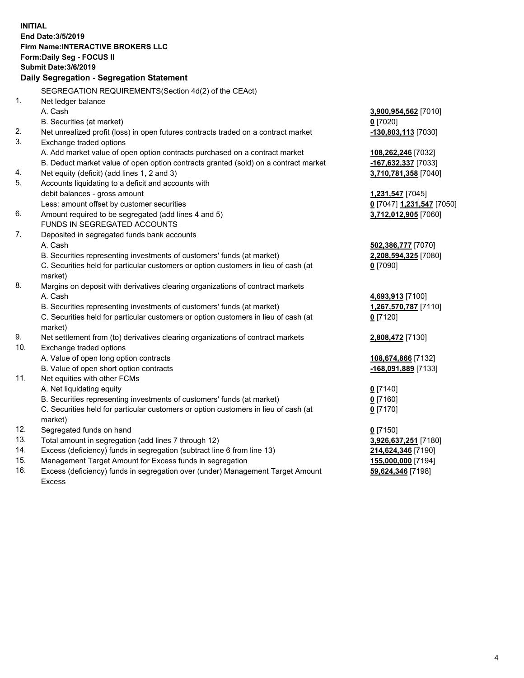**INITIAL End Date:3/5/2019 Firm Name:INTERACTIVE BROKERS LLC Form:Daily Seg - FOCUS II Submit Date:3/6/2019 Daily Segregation - Segregation Statement** SEGREGATION REQUIREMENTS(Section 4d(2) of the CEAct) 1. Net ledger balance A. Cash **3,900,954,562** [7010] B. Securities (at market) **0** [7020] 2. Net unrealized profit (loss) in open futures contracts traded on a contract market **-130,803,113** [7030] 3. Exchange traded options A. Add market value of open option contracts purchased on a contract market **108,262,246** [7032] B. Deduct market value of open option contracts granted (sold) on a contract market **-167,632,337** [7033] 4. Net equity (deficit) (add lines 1, 2 and 3) **3,710,781,358** [7040] 5. Accounts liquidating to a deficit and accounts with debit balances - gross amount **1,231,547** [7045] Less: amount offset by customer securities **0** [7047] **1,231,547** [7050] 6. Amount required to be segregated (add lines 4 and 5) **3,712,012,905** [7060] FUNDS IN SEGREGATED ACCOUNTS 7. Deposited in segregated funds bank accounts A. Cash **502,386,777** [7070] B. Securities representing investments of customers' funds (at market) **2,208,594,325** [7080] C. Securities held for particular customers or option customers in lieu of cash (at market) **0** [7090] 8. Margins on deposit with derivatives clearing organizations of contract markets A. Cash **4,693,913** [7100] B. Securities representing investments of customers' funds (at market) **1,267,570,787** [7110] C. Securities held for particular customers or option customers in lieu of cash (at market) **0** [7120] 9. Net settlement from (to) derivatives clearing organizations of contract markets **2,808,472** [7130] 10. Exchange traded options A. Value of open long option contracts **108,674,866** [7132] B. Value of open short option contracts **-168,091,889** [7133] 11. Net equities with other FCMs A. Net liquidating equity **0** [7140] B. Securities representing investments of customers' funds (at market) **0** [7160] C. Securities held for particular customers or option customers in lieu of cash (at market) **0** [7170] 12. Segregated funds on hand **0** [7150] 13. Total amount in segregation (add lines 7 through 12) **3,926,637,251** [7180] 14. Excess (deficiency) funds in segregation (subtract line 6 from line 13) **214,624,346** [7190] 15. Management Target Amount for Excess funds in segregation **155,000,000** [7194]

16. Excess (deficiency) funds in segregation over (under) Management Target Amount Excess

**59,624,346** [7198]